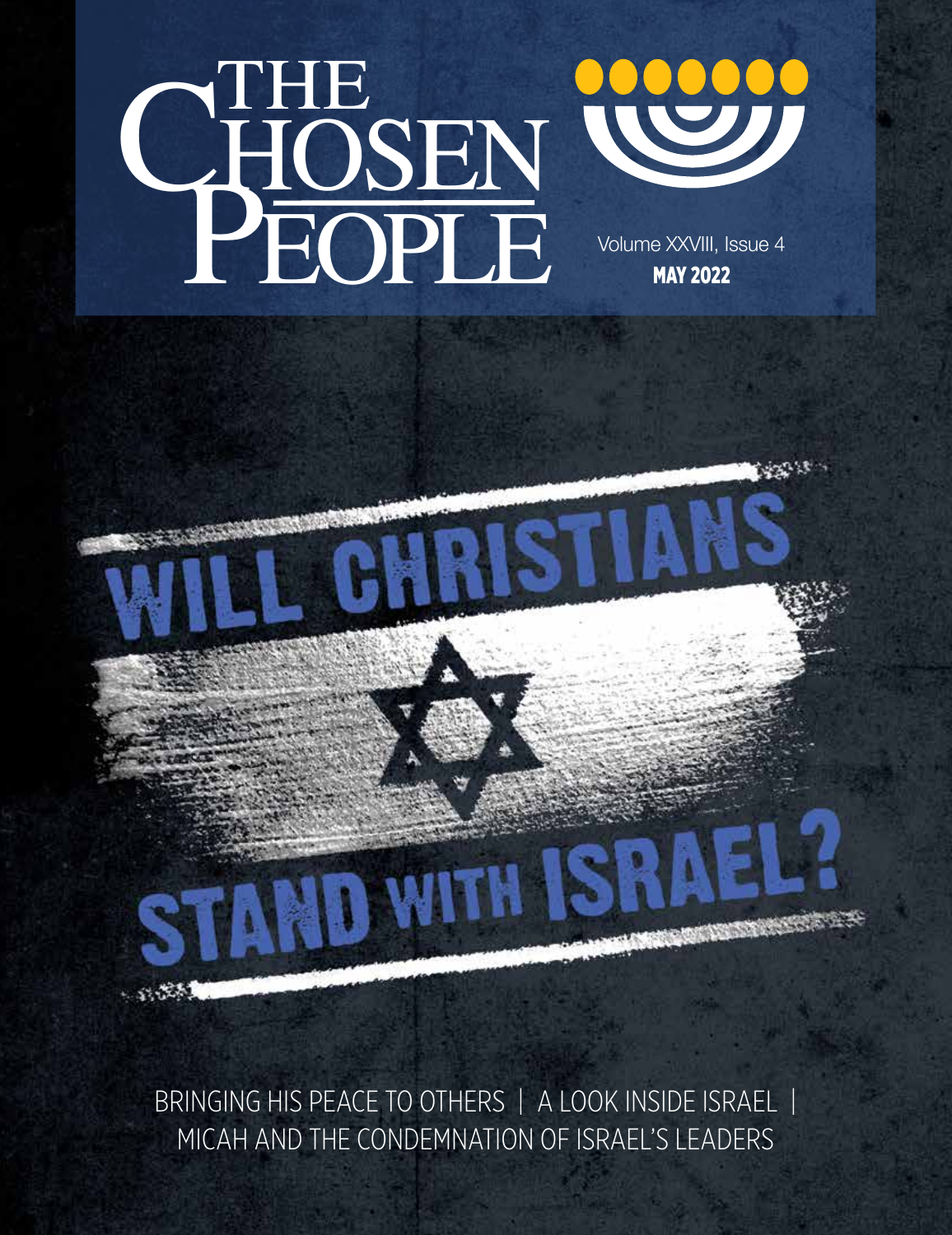



BRINGING HIS PEACE TO OTHERS | A LOOK INSIDE ISRAEL | MICAH AND THE CONDEMNATION OF ISRAEL'S LEADERS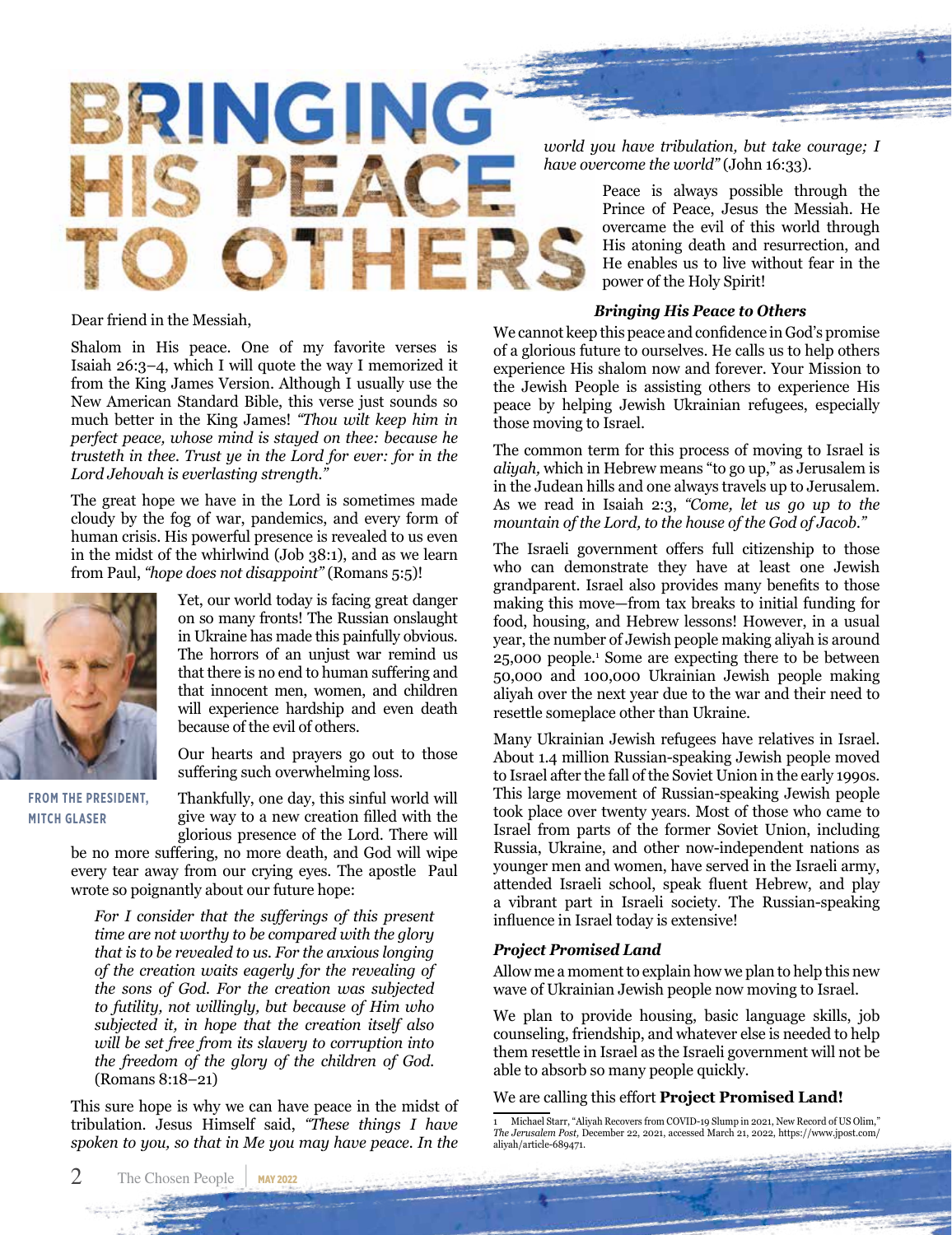

*world you have tribulation, but take courage; I have overcome the world"* (John 16:33).

> Peace is always possible through the Prince of Peace, Jesus the Messiah. He overcame the evil of this world through His atoning death and resurrection, and He enables us to live without fear in the power of the Holy Spirit!

#### *Bringing His Peace to Others*

We cannot keep this peace and confidence in God's promise of a glorious future to ourselves. He calls us to help others experience His shalom now and forever. Your Mission to the Jewish People is assisting others to experience His peace by helping Jewish Ukrainian refugees, especially those moving to Israel.

The common term for this process of moving to Israel is *aliyah,* which in Hebrew means "to go up," as Jerusalem is in the Judean hills and one always travels up to Jerusalem. As we read in Isaiah 2:3, *"Come, let us go up to the mountain of the Lord, to the house of the God of Jacob."*

The Israeli government offers full citizenship to those who can demonstrate they have at least one Jewish grandparent. Israel also provides many benefits to those making this move—from tax breaks to initial funding for food, housing, and Hebrew lessons! However, in a usual year, the number of Jewish people making aliyah is around 25,000 people.<sup>1</sup> Some are expecting there to be between 50,000 and 100,000 Ukrainian Jewish people making aliyah over the next year due to the war and their need to resettle someplace other than Ukraine.

Many Ukrainian Jewish refugees have relatives in Israel. About 1.4 million Russian-speaking Jewish people moved to Israel after the fall of the Soviet Union in the early 1990s. This large movement of Russian-speaking Jewish people took place over twenty years. Most of those who came to Israel from parts of the former Soviet Union, including Russia, Ukraine, and other now-independent nations as younger men and women, have served in the Israeli army, attended Israeli school, speak fluent Hebrew, and play a vibrant part in Israeli society. The Russian-speaking influence in Israel today is extensive!

### *Project Promised Land*

Allow me a moment to explain how we plan to help this new wave of Ukrainian Jewish people now moving to Israel.

We plan to provide housing, basic language skills, job counseling, friendship, and whatever else is needed to help them resettle in Israel as the Israeli government will not be able to absorb so many people quickly.

### We are calling this effort **Project Promised Land!**

Dear friend in the Messiah,

Shalom in His peace. One of my favorite verses is Isaiah 26:3–4, which I will quote the way I memorized it from the King James Version. Although I usually use the New American Standard Bible, this verse just sounds so much better in the King James! *"Thou wilt keep him in perfect peace, whose mind is stayed on thee: because he trusteth in thee. Trust ye in the Lord for ever: for in the Lord Jehovah is everlasting strength."*

The great hope we have in the Lord is sometimes made cloudy by the fog of war, pandemics, and every form of human crisis. His powerful presence is revealed to us even in the midst of the whirlwind (Job 38:1), and as we learn from Paul, *"hope does not disappoint"* (Romans 5:5)!



**FROM THE PRESIDENT, MITCH GLASER**

Our hearts and prayers go out to those suffering such overwhelming loss. Thankfully, one day, this sinful world will give way to a new creation filled with the

Yet, our world today is facing great danger on so many fronts! The Russian onslaught in Ukraine has made this painfully obvious. The horrors of an unjust war remind us that there is no end to human suffering and that innocent men, women, and children will experience hardship and even death

glorious presence of the Lord. There will be no more suffering, no more death, and God will wipe every tear away from our crying eyes. The apostle Paul wrote so poignantly about our future hope:

because of the evil of others.

*For I consider that the sufferings of this present time are not worthy to be compared with the glory that is to be revealed to us. For the anxious longing of the creation waits eagerly for the revealing of the sons of God. For the creation was subjected to futility, not willingly, but because of Him who subjected it, in hope that the creation itself also will be set free from its slavery to corruption into the freedom of the glory of the children of God.*  (Romans 8:18–21)

This sure hope is why we can have peace in the midst of tribulation. Jesus Himself said, *"These things I have spoken to you, so that in Me you may have peace. In the* 

<sup>1</sup> Michael Starr, "Aliyah Recovers from COVID-19 Slump in 2021, New Record of US Olim," *The Jerusalem Post,* December 22, 2021, accessed March 21, 2022, https://www.jpost.com/ aliyah/article-689471.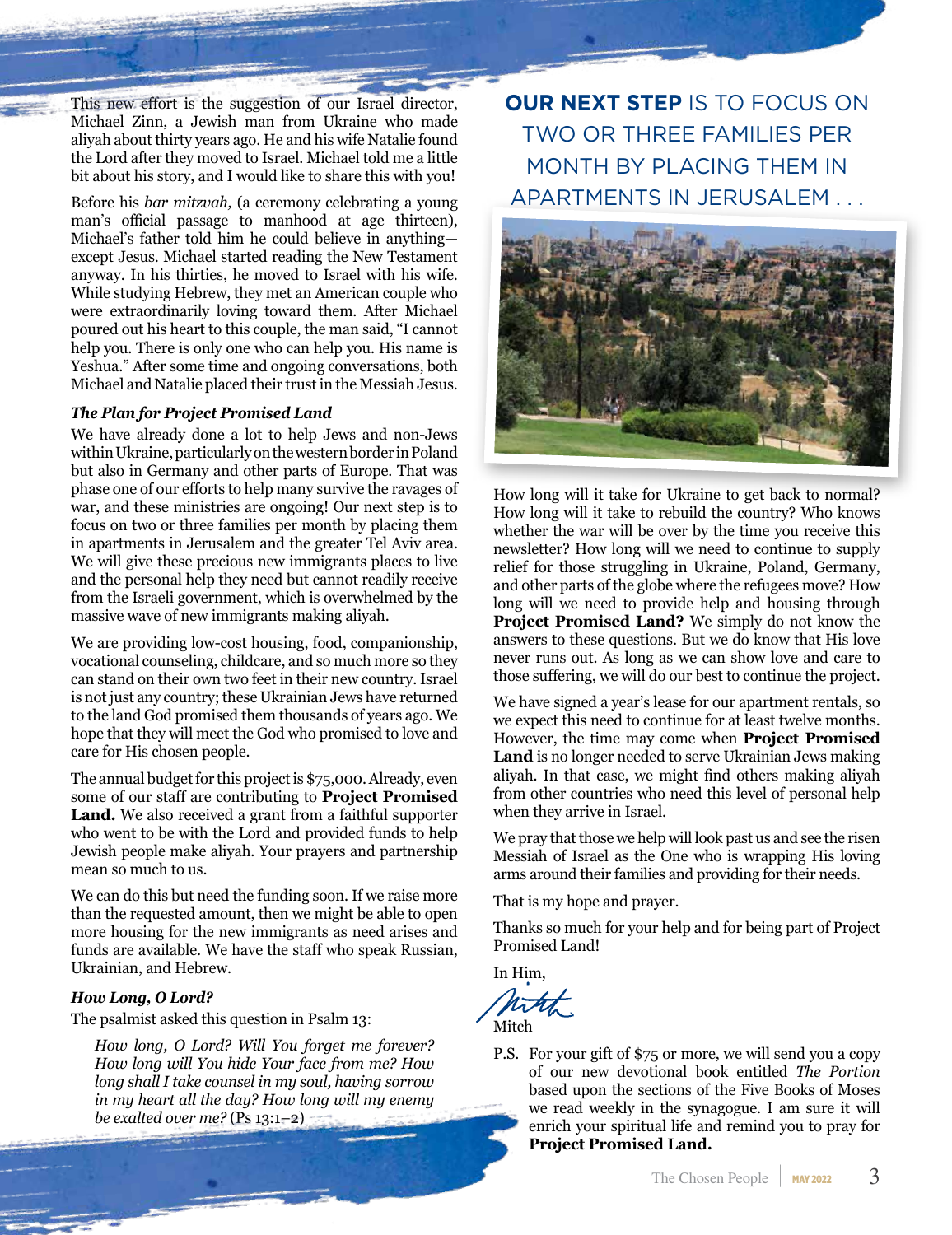This new effort is the suggestion of our Israel director, Michael Zinn, a Jewish man from Ukraine who made aliyah about thirty years ago. He and his wife Natalie found the Lord after they moved to Israel. Michael told me a little bit about his story, and I would like to share this with you!

Before his *bar mitzvah,* (a ceremony celebrating a young man's official passage to manhood at age thirteen), Michael's father told him he could believe in anything except Jesus. Michael started reading the New Testament anyway. In his thirties, he moved to Israel with his wife. While studying Hebrew, they met an American couple who were extraordinarily loving toward them. After Michael poured out his heart to this couple, the man said, "I cannot help you. There is only one who can help you. His name is Yeshua." After some time and ongoing conversations, both Michael and Natalie placed their trust in the Messiah Jesus.

#### *The Plan for Project Promised Land*

We have already done a lot to help Jews and non-Jews within Ukraine, particularly on the western border in Poland but also in Germany and other parts of Europe. That was phase one of our efforts to help many survive the ravages of war, and these ministries are ongoing! Our next step is to focus on two or three families per month by placing them in apartments in Jerusalem and the greater Tel Aviv area. We will give these precious new immigrants places to live and the personal help they need but cannot readily receive from the Israeli government, which is overwhelmed by the massive wave of new immigrants making aliyah.

We are providing low-cost housing, food, companionship, vocational counseling, childcare, and so much more so they can stand on their own two feet in their new country. Israel is not just any country; these Ukrainian Jews have returned to the land God promised them thousands of years ago. We hope that they will meet the God who promised to love and care for His chosen people.

The annual budget for this project is \$75,000. Already, even some of our staff are contributing to **Project Promised Land.** We also received a grant from a faithful supporter who went to be with the Lord and provided funds to help Jewish people make aliyah. Your prayers and partnership mean so much to us.

We can do this but need the funding soon. If we raise more than the requested amount, then we might be able to open more housing for the new immigrants as need arises and funds are available. We have the staff who speak Russian, Ukrainian, and Hebrew.

### *How Long, O Lord?*

The psalmist asked this question in Psalm 13:

*How long, O Lord? Will You forget me forever? How long will You hide Your face from me? How long shall I take counsel in my soul, having sorrow in my heart all the day? How long will my enemy be exalted over me?* (Ps 13:1–2)

**OUR NEXT STEP** IS TO FOCUS ON TWO OR THREE FAMILIES PER MONTH BY PLACING THEM IN APARTMENTS IN JERUSALEM . . .



How long will it take for Ukraine to get back to normal? How long will it take to rebuild the country? Who knows whether the war will be over by the time you receive this newsletter? How long will we need to continue to supply relief for those struggling in Ukraine, Poland, Germany, and other parts of the globe where the refugees move? How long will we need to provide help and housing through **Project Promised Land?** We simply do not know the answers to these questions. But we do know that His love never runs out. As long as we can show love and care to those suffering, we will do our best to continue the project.

We have signed a year's lease for our apartment rentals, so we expect this need to continue for at least twelve months. However, the time may come when **Project Promised Land** is no longer needed to serve Ukrainian Jews making aliyah. In that case, we might find others making aliyah from other countries who need this level of personal help when they arrive in Israel.

We pray that those we help will look past us and see the risen Messiah of Israel as the One who is wrapping His loving arms around their families and providing for their needs.

That is my hope and prayer.

Thanks so much for your help and for being part of Project Promised Land!

In Him,

**Mitch** 

P.S. For your gift of \$75 or more, we will send you a copy of our new devotional book entitled *The Portion* based upon the sections of the Five Books of Moses we read weekly in the synagogue. I am sure it will enrich your spiritual life and remind you to pray for **Project Promised Land.**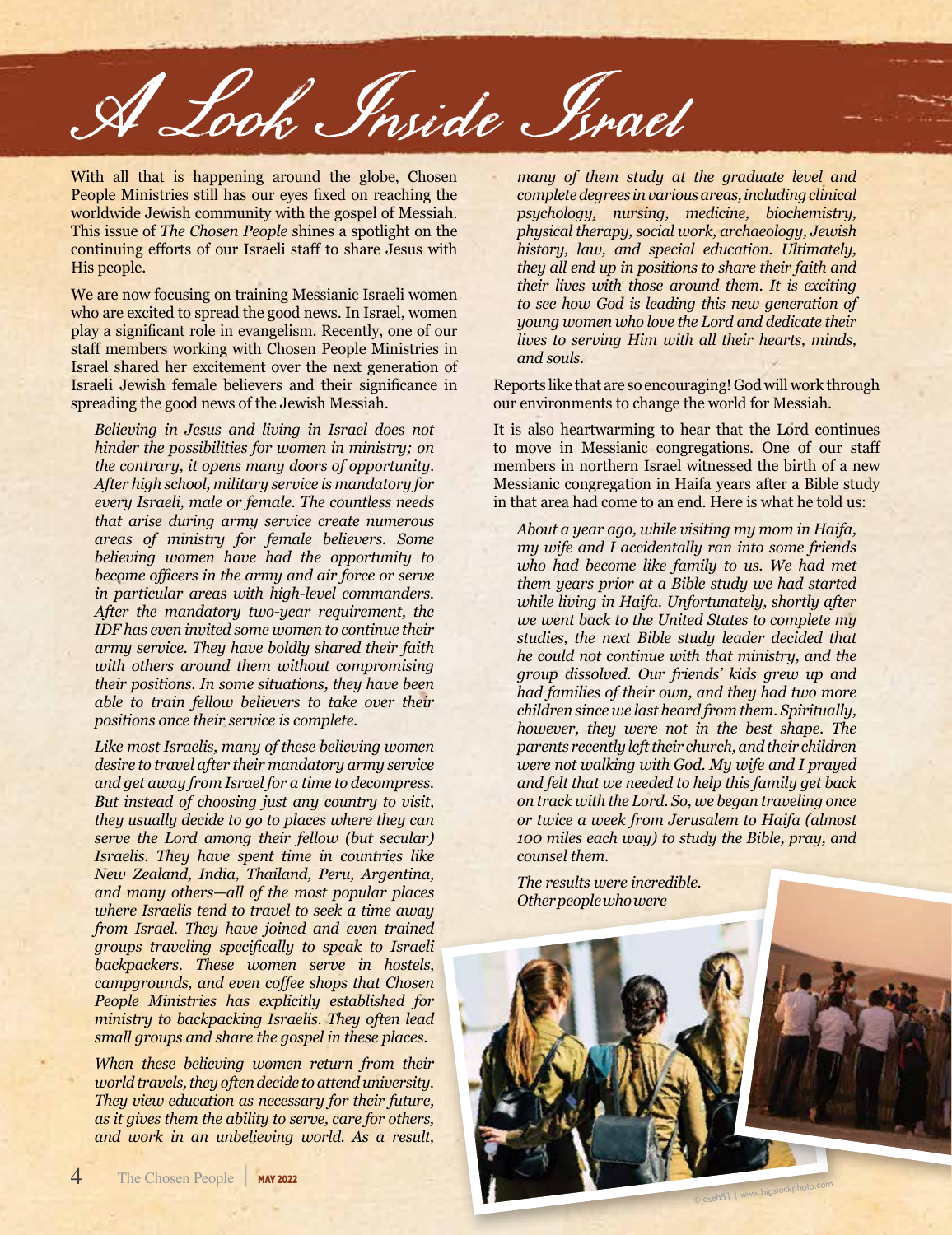A Look Inside Israel

With all that is happening around the globe, Chosen People Ministries still has our eyes fixed on reaching the worldwide Jewish community with the gospel of Messiah. This issue of *The Chosen People* shines a spotlight on the continuing efforts of our Israeli staff to share Jesus with His people.

We are now focusing on training Messianic Israeli women who are excited to spread the good news. In Israel, women play a significant role in evangelism. Recently, one of our staff members working with Chosen People Ministries in Israel shared her excitement over the next generation of Israeli Jewish female believers and their significance in spreading the good news of the Jewish Messiah.

*Believing in Jesus and living in Israel does not hinder the possibilities for women in ministry; on the contrary, it opens many doors of opportunity. After high school, military service is mandatory for every Israeli, male or female. The countless needs that arise during army service create numerous areas of ministry for female believers. Some believing women have had the opportunity to become officers in the army and air force or serve in particular areas with high-level commanders. After the mandatory two-year requirement, the IDF has even invited some women to continue their army service. They have boldly shared their faith with others around them without compromising their positions. In some situations, they have been able to train fellow believers to take over their positions once their service is complete.*

*Like most Israelis, many of these believing women desire to travel after their mandatory army service and get away from Israel for a time to decompress. But instead of choosing just any country to visit, they usually decide to go to places where they can serve the Lord among their fellow (but secular) Israelis. They have spent time in countries like New Zealand, India, Thailand, Peru, Argentina, and many others—all of the most popular places where Israelis tend to travel to seek a time away from Israel. They have joined and even trained groups traveling specifically to speak to Israeli backpackers. These women serve in hostels, campgrounds, and even coffee shops that Chosen People Ministries has explicitly established for ministry to backpacking Israelis. They often lead small groups and share the gospel in these places.* 

*When these believing women return from their world travels, they often decide to attend university. They view education as necessary for their future, as it gives them the ability to serve, care for others, and work in an unbelieving world. As a result,* 

*many of them study at the graduate level and complete degrees in various areas, including clinical psychology, nursing, medicine, biochemistry, physical therapy, social work, archaeology, Jewish history, law, and special education. Ultimately, they all end up in positions to share their faith and their lives with those around them. It is exciting to see how God is leading this new generation of young women who love the Lord and dedicate their lives to serving Him with all their hearts, minds, and souls.*

Reports like that are so encouraging! God will work through our environments to change the world for Messiah.

It is also heartwarming to hear that the Lord continues to move in Messianic congregations. One of our staff members in northern Israel witnessed the birth of a new Messianic congregation in Haifa years after a Bible study in that area had come to an end. Here is what he told us:

*About a year ago, while visiting my mom in Haifa, my wife and I accidentally ran into some friends who had become like family to us. We had met them years prior at a Bible study we had started while living in Haifa. Unfortunately, shortly after we went back to the United States to complete my studies, the next Bible study leader decided that he could not continue with that ministry, and the group dissolved. Our friends' kids grew up and had families of their own, and they had two more children since we last heard from them. Spiritually, however, they were not in the best shape. The parents recently left their church, and their children were not walking with God. My wife and I prayed and felt that we needed to help this family get back on track with the Lord. So, we began traveling once or twice a week from Jerusalem to Haifa (almost 100 miles each way) to study the Bible, pray, and counsel them.*

*The results were incredible. Other people who were* 

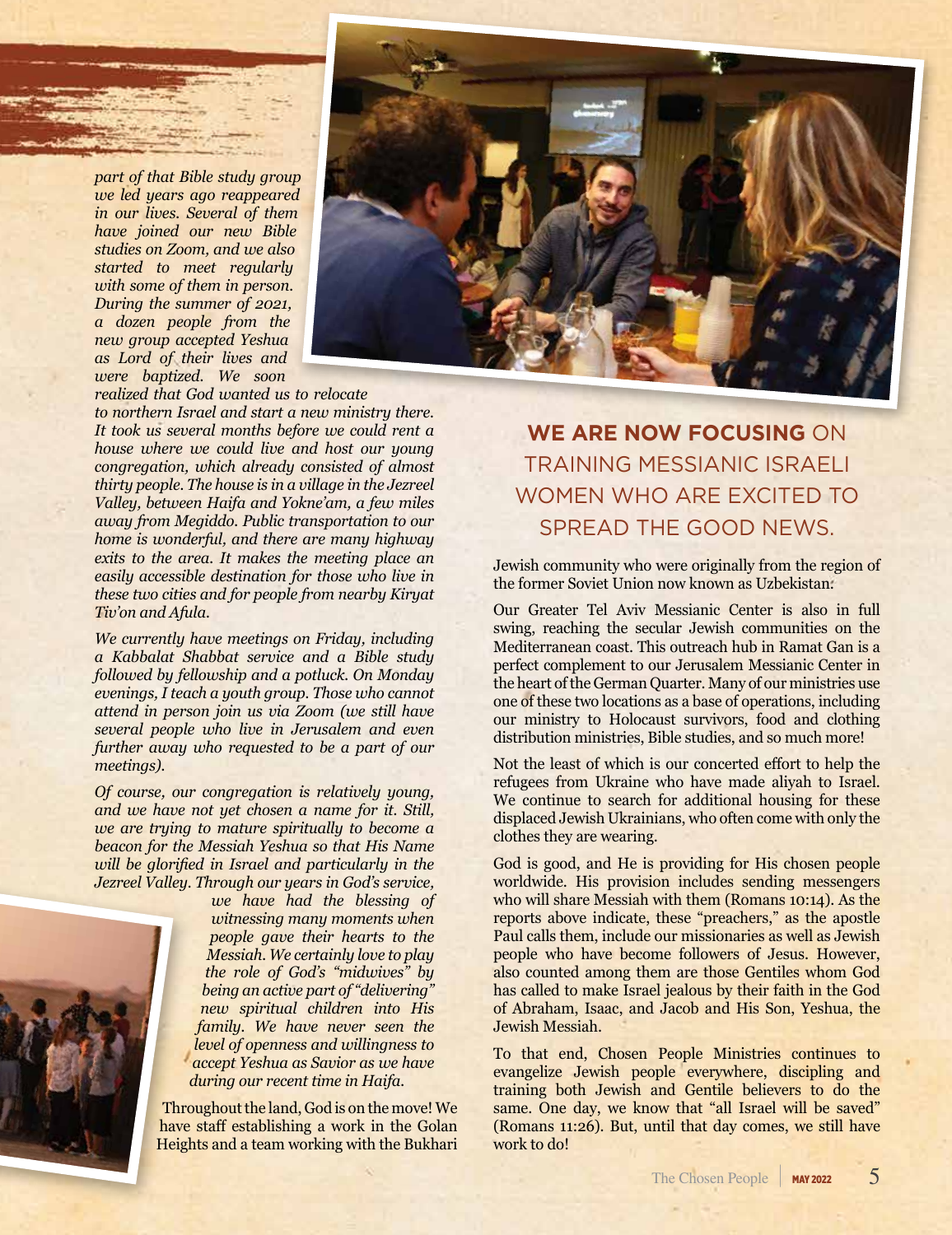*part of that Bible study group we led years ago reappeared in our lives. Several of them have joined our new Bible studies on Zoom, and we also started to meet regularly with some of them in person. During the summer of 2021, a dozen people from the new group accepted Yeshua as Lord of their lives and were baptized. We soon* 



*realized that God wanted us to relocate to northern Israel and start a new ministry there. It took us several months before we could rent a house where we could live and host our young congregation, which already consisted of almost thirty people. The house is in a village in the Jezreel Valley, between Haifa and Yokne'am, a few miles away from Megiddo. Public transportation to our home is wonderful, and there are many highway exits to the area. It makes the meeting place an easily accessible destination for those who live in these two cities and for people from nearby Kiryat Tiv'on and Afula.* 

*We currently have meetings on Friday, including a Kabbalat Shabbat service and a Bible study followed by fellowship and a potluck. On Monday evenings, I teach a youth group. Those who cannot attend in person join us via Zoom (we still have several people who live in Jerusalem and even further away who requested to be a part of our meetings).*

*Of course, our congregation is relatively young, and we have not yet chosen a name for it. Still, we are trying to mature spiritually to become a beacon for the Messiah Yeshua so that His Name will be glorified in Israel and particularly in the Jezreel Valley. Through our years in God's service,* 



*we have had the blessing of witnessing many moments when people gave their hearts to the Messiah. We certainly love to play the role of God's "midwives" by being an active part of "delivering" new spiritual children into His family. We have never seen the level of openness and willingness to accept Yeshua as Savior as we have during our recent time in Haifa.* 

Throughout the land, God is on the move! We have staff establishing a work in the Golan Heights and a team working with the Bukhari

**WE ARE NOW FOCUSING** ON TRAINING MESSIANIC ISRAELI WOMEN WHO ARE EXCITED TO SPREAD THE GOOD NEWS.

Jewish community who were originally from the region of the former Soviet Union now known as Uzbekistan.

Our Greater Tel Aviv Messianic Center is also in full swing, reaching the secular Jewish communities on the Mediterranean coast. This outreach hub in Ramat Gan is a perfect complement to our Jerusalem Messianic Center in the heart of the German Quarter. Many of our ministries use one of these two locations as a base of operations, including our ministry to Holocaust survivors, food and clothing distribution ministries, Bible studies, and so much more!

Not the least of which is our concerted effort to help the refugees from Ukraine who have made aliyah to Israel. We continue to search for additional housing for these displaced Jewish Ukrainians, who often come with only the clothes they are wearing.

God is good, and He is providing for His chosen people worldwide. His provision includes sending messengers who will share Messiah with them (Romans 10:14). As the reports above indicate, these "preachers," as the apostle Paul calls them, include our missionaries as well as Jewish people who have become followers of Jesus. However, also counted among them are those Gentiles whom God has called to make Israel jealous by their faith in the God of Abraham, Isaac, and Jacob and His Son, Yeshua, the Jewish Messiah.

To that end, Chosen People Ministries continues to evangelize Jewish people everywhere, discipling and training both Jewish and Gentile believers to do the same. One day, we know that "all Israel will be saved" (Romans 11:26). But, until that day comes, we still have work to do!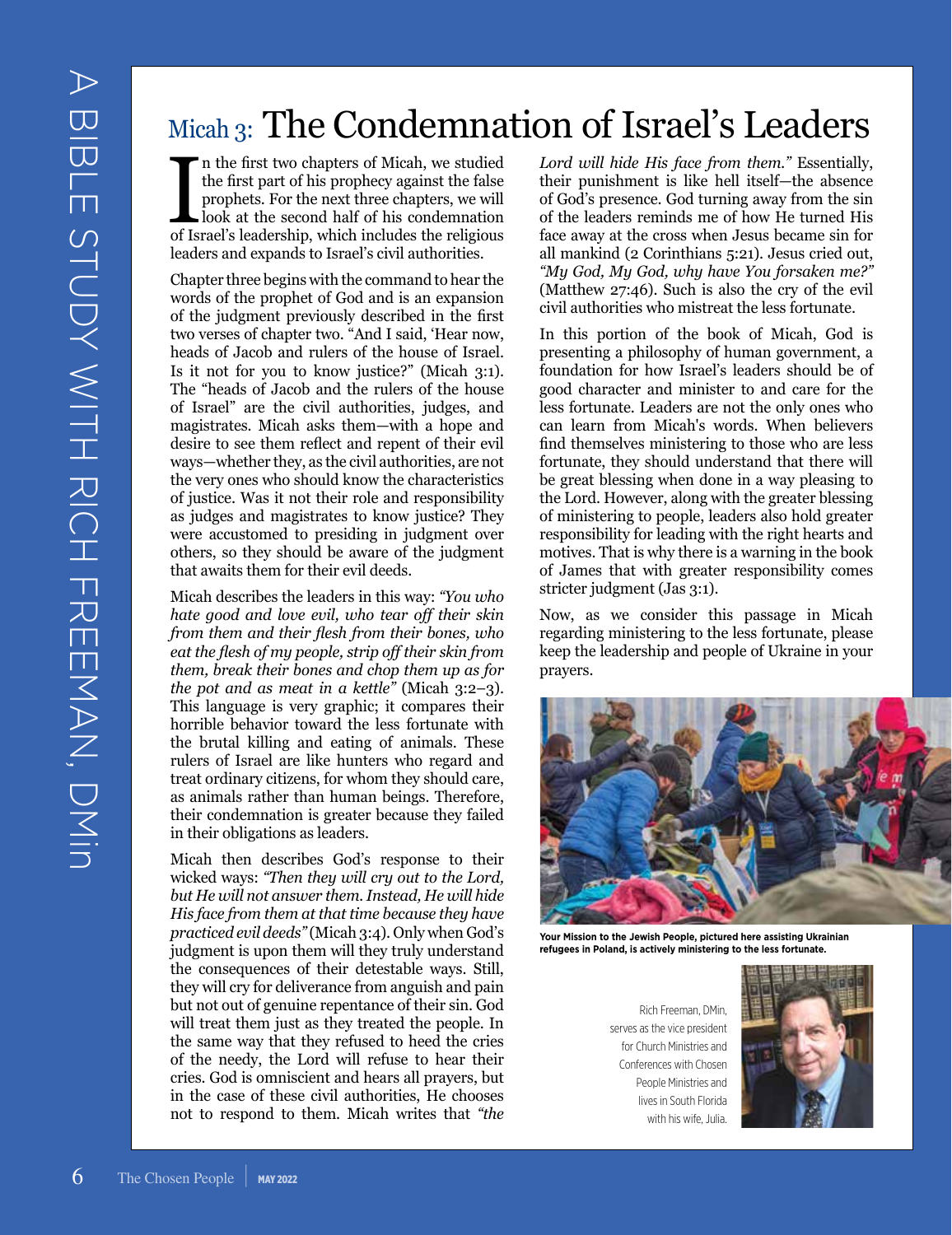# Micah 3: The Condemnation of Israel's Leaders

In the first two chapters of Micah, we studied<br>the first part of his prophecy against the false<br>prophets. For the next three chapters, we will<br>look at the second half of his condemnation<br>of Israel's leadership, which inclu n the first two chapters of Micah, we studied the first part of his prophecy against the false prophets. For the next three chapters, we will look at the second half of his condemnation leaders and expands to Israel's civil authorities.

Chapter three begins with the command to hear the words of the prophet of God and is an expansion of the judgment previously described in the first two verses of chapter two. "And I said, 'Hear now, heads of Jacob and rulers of the house of Israel. Is it not for you to know justice?" (Micah 3:1). The "heads of Jacob and the rulers of the house of Israel" are the civil authorities, judges, and magistrates. Micah asks them—with a hope and desire to see them reflect and repent of their evil ways—whether they, as the civil authorities, are not the very ones who should know the characteristics of justice. Was it not their role and responsibility as judges and magistrates to know justice? They were accustomed to presiding in judgment over others, so they should be aware of the judgment that awaits them for their evil deeds.

Micah describes the leaders in this way: *"You who hate good and love evil, who tear off their skin from them and their flesh from their bones, who eat the flesh of my people, strip off their skin from them, break their bones and chop them up as for the pot and as meat in a kettle"* (Micah 3:2–3). This language is very graphic; it compares their horrible behavior toward the less fortunate with the brutal killing and eating of animals. These rulers of Israel are like hunters who regard and treat ordinary citizens, for whom they should care, as animals rather than human beings. Therefore, their condemnation is greater because they failed in their obligations as leaders.

Micah then describes God's response to their wicked ways: *"Then they will cry out to the Lord, but He will not answer them. Instead, He will hide His face from them at that time because they have practiced evil deeds"* (Micah 3:4). Only when God's judgment is upon them will they truly understand the consequences of their detestable ways. Still, they will cry for deliverance from anguish and pain but not out of genuine repentance of their sin. God will treat them just as they treated the people. In the same way that they refused to heed the cries of the needy, the Lord will refuse to hear their cries. God is omniscient and hears all prayers, but in the case of these civil authorities, He chooses not to respond to them. Micah writes that *"the*  *Lord will hide His face from them."* Essentially, their punishment is like hell itself—the absence of God's presence. God turning away from the sin of the leaders reminds me of how He turned His face away at the cross when Jesus became sin for all mankind (2 Corinthians 5:21). Jesus cried out, *"My God, My God, why have You forsaken me?"* (Matthew 27:46). Such is also the cry of the evil civil authorities who mistreat the less fortunate.

In this portion of the book of Micah, God is presenting a philosophy of human government, a foundation for how Israel's leaders should be of good character and minister to and care for the less fortunate. Leaders are not the only ones who can learn from Micah's words. When believers find themselves ministering to those who are less fortunate, they should understand that there will be great blessing when done in a way pleasing to the Lord. However, along with the greater blessing of ministering to people, leaders also hold greater responsibility for leading with the right hearts and motives. That is why there is a warning in the book of James that with greater responsibility comes stricter judgment (Jas 3:1).

Now, as we consider this passage in Micah regarding ministering to the less fortunate, please keep the leadership and people of Ukraine in your prayers.



**Your Mission to the Jewish People, pictured here assisting Ukrainian refugees in Poland, is actively ministering to the less fortunate.**

Rich Freeman, DMin, serves as the vice president for Church Ministries and Conferences with Chosen People Ministries and lives in South Florida with his wife, Julia.

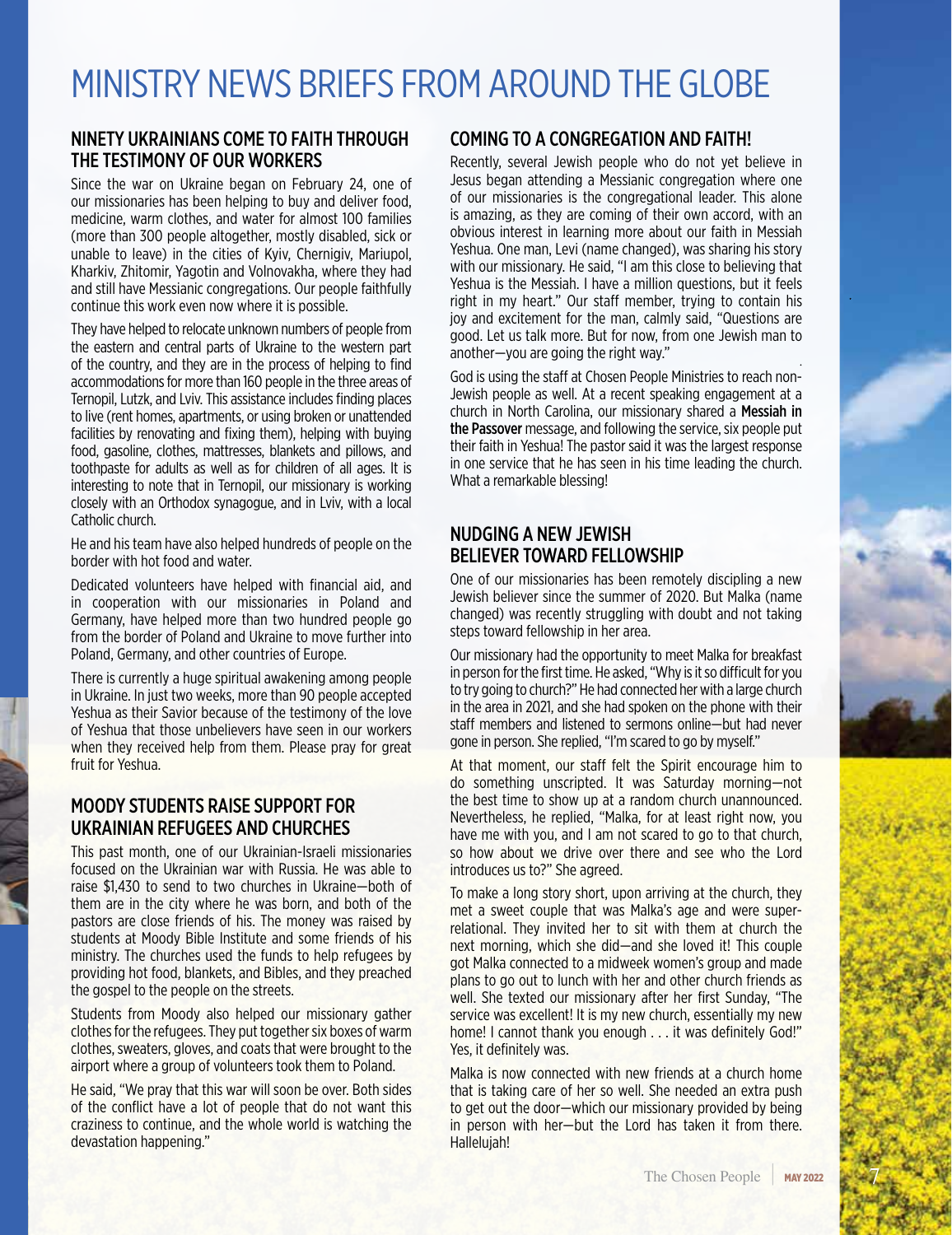# MINISTRY NEWS BRIEFS FROM AROUND THE GLOBE

## NINETY UKRAINIANS COME TO FAITH THROUGH THE TESTIMONY OF OUR WORKERS

Since the war on Ukraine began on February 24, one of our missionaries has been helping to buy and deliver food, medicine, warm clothes, and water for almost 100 families (more than 300 people altogether, mostly disabled, sick or unable to leave) in the cities of Kyiv, Chernigiv, Mariupol, Kharkiv, Zhitomir, Yagotin and Volnovakha, where they had and still have Messianic congregations. Our people faithfully continue this work even now where it is possible.

They have helped to relocate unknown numbers of people from the eastern and central parts of Ukraine to the western part of the country, and they are in the process of helping to find accommodations for more than 160 people in the three areas of Ternopil, Lutzk, and Lviv. This assistance includes finding places to live (rent homes, apartments, or using broken or unattended facilities by renovating and fixing them), helping with buying food, gasoline, clothes, mattresses, blankets and pillows, and toothpaste for adults as well as for children of all ages. It is interesting to note that in Ternopil, our missionary is working closely with an Orthodox synagogue, and in Lviv, with a local Catholic church.

He and his team have also helped hundreds of people on the border with hot food and water.

Dedicated volunteers have helped with financial aid, and in cooperation with our missionaries in Poland and Germany, have helped more than two hundred people go from the border of Poland and Ukraine to move further into Poland, Germany, and other countries of Europe.

There is currently a huge spiritual awakening among people in Ukraine. In just two weeks, more than 90 people accepted Yeshua as their Savior because of the testimony of the love of Yeshua that those unbelievers have seen in our workers when they received help from them. Please pray for great fruit for Yeshua.

## MOODY STUDENTS RAISE SUPPORT FOR UKRAINIAN REFUGEES AND CHURCHES

This past month, one of our Ukrainian-Israeli missionaries focused on the Ukrainian war with Russia. He was able to raise \$1,430 to send to two churches in Ukraine—both of them are in the city where he was born, and both of the pastors are close friends of his. The money was raised by students at Moody Bible Institute and some friends of his ministry. The churches used the funds to help refugees by providing hot food, blankets, and Bibles, and they preached the gospel to the people on the streets.

Students from Moody also helped our missionary gather clothes for the refugees. They put together six boxes of warm clothes, sweaters, gloves, and coats that were brought to the airport where a group of volunteers took them to Poland.

He said, "We pray that this war will soon be over. Both sides of the conflict have a lot of people that do not want this craziness to continue, and the whole world is watching the devastation happening."

## COMING TO A CONGREGATION AND FAITH!

Recently, several Jewish people who do not yet believe in Jesus began attending a Messianic congregation where one of our missionaries is the congregational leader. This alone is amazing, as they are coming of their own accord, with an obvious interest in learning more about our faith in Messiah Yeshua. One man, Levi (name changed), was sharing his story with our missionary. He said, "I am this close to believing that Yeshua is the Messiah. I have a million questions, but it feels right in my heart." Our staff member, trying to contain his joy and excitement for the man, calmly said, "Questions are good. Let us talk more. But for now, from one Jewish man to another—you are going the right way."

God is using the staff at Chosen People Ministries to reach non-Jewish people as well. At a recent speaking engagement at a church in North Carolina, our missionary shared a Messiah in the Passover message, and following the service, six people put their faith in Yeshua! The pastor said it was the largest response in one service that he has seen in his time leading the church. What a remarkable blessing!

## NUDGING A NEW JEWISH BELIEVER TOWARD FELLOWSHIP

One of our missionaries has been remotely discipling a new Jewish believer since the summer of 2020. But Malka (name changed) was recently struggling with doubt and not taking steps toward fellowship in her area.

Our missionary had the opportunity to meet Malka for breakfast in person for the first time. He asked, "Why is it so difficult for you to try going to church?" He had connected her with a large church in the area in 2021, and she had spoken on the phone with their staff members and listened to sermons online—but had never gone in person. She replied, "I'm scared to go by myself."

At that moment, our staff felt the Spirit encourage him to do something unscripted. It was Saturday morning—not the best time to show up at a random church unannounced. Nevertheless, he replied, "Malka, for at least right now, you have me with you, and I am not scared to go to that church, so how about we drive over there and see who the Lord introduces us to?" She agreed.

To make a long story short, upon arriving at the church, they met a sweet couple that was Malka's age and were superrelational. They invited her to sit with them at church the next morning, which she did—and she loved it! This couple got Malka connected to a midweek women's group and made plans to go out to lunch with her and other church friends as well. She texted our missionary after her first Sunday, "The service was excellent! It is my new church, essentially my new home! I cannot thank you enough . . . it was definitely God!" Yes, it definitely was.

Malka is now connected with new friends at a church home that is taking care of her so well. She needed an extra push to get out the door—which our missionary provided by being in person with her—but the Lord has taken it from there. Hallelujah!